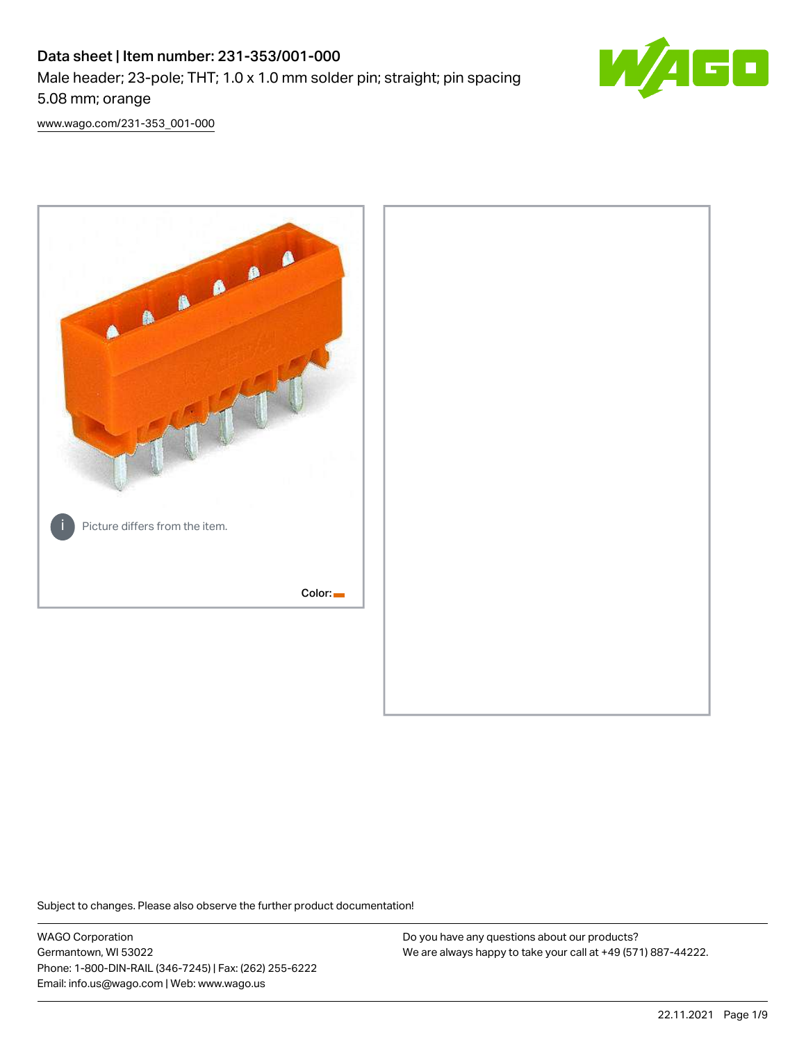# Data sheet | Item number: 231-353/001-000 Male header; 23-pole; THT; 1.0 x 1.0 mm solder pin; straight; pin spacing 5.08 mm; orange



[www.wago.com/231-353\\_001-000](http://www.wago.com/231-353_001-000)



Subject to changes. Please also observe the further product documentation!

WAGO Corporation Germantown, WI 53022 Phone: 1-800-DIN-RAIL (346-7245) | Fax: (262) 255-6222 Email: info.us@wago.com | Web: www.wago.us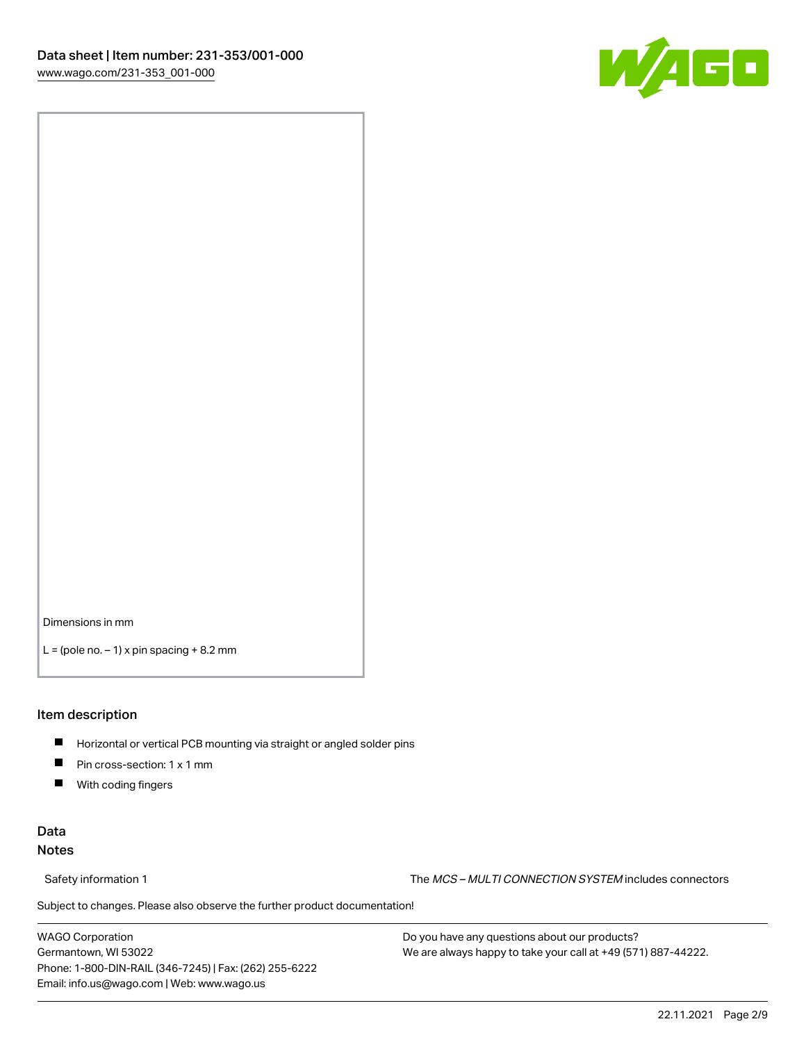

Dimensions in mm

 $L =$  (pole no.  $-1$ ) x pin spacing  $+8.2$  mm

### Item description

- **Horizontal or vertical PCB mounting via straight or angled solder pins**
- **Pin cross-section: 1 x 1 mm**
- $\blacksquare$ With coding fingers

## Data Notes

Safety information 1 The MCS – MULTI CONNECTION SYSTEM includes connectors

Subject to changes. Please also observe the further product documentation!  $\nu$ 

WAGO Corporation Germantown, WI 53022 Phone: 1-800-DIN-RAIL (346-7245) | Fax: (262) 255-6222 Email: info.us@wago.com | Web: www.wago.us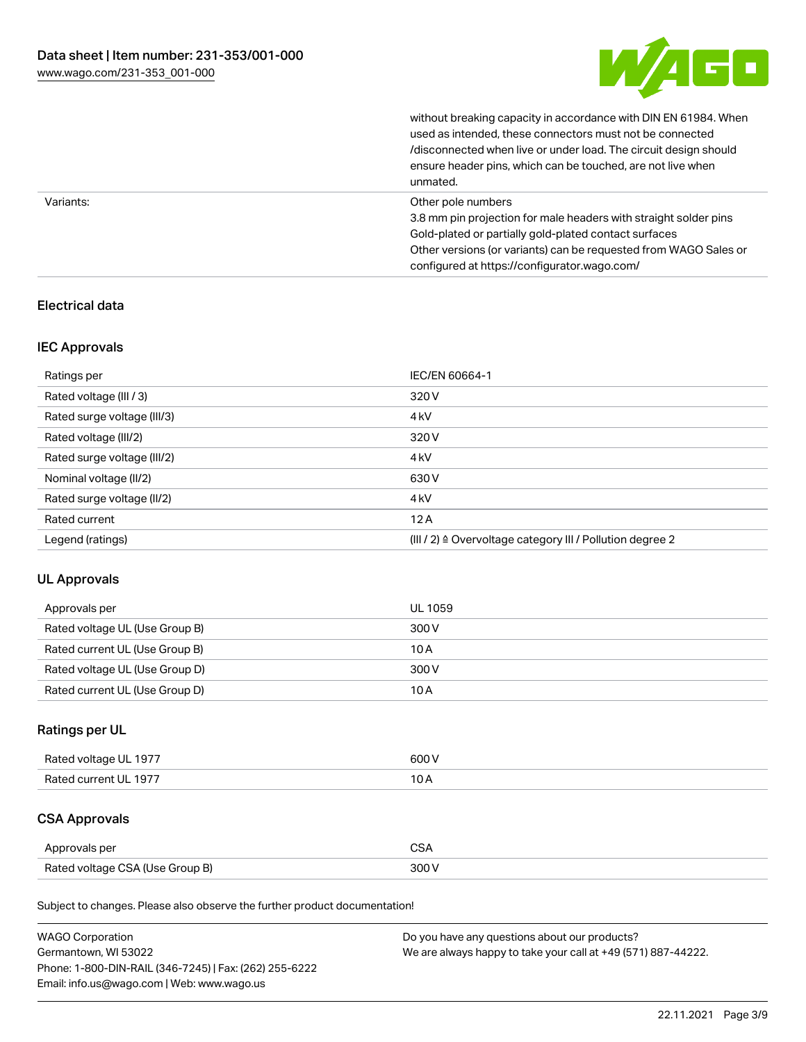

without breaking capacity in accordance with DIN EN 61984. When

|           | used as intended, these connectors must not be connected<br>/disconnected when live or under load. The circuit design should<br>ensure header pins, which can be touched, are not live when<br>unmated.                                                             |
|-----------|---------------------------------------------------------------------------------------------------------------------------------------------------------------------------------------------------------------------------------------------------------------------|
| Variants: | Other pole numbers<br>3.8 mm pin projection for male headers with straight solder pins<br>Gold-plated or partially gold-plated contact surfaces<br>Other versions (or variants) can be requested from WAGO Sales or<br>configured at https://configurator.wago.com/ |

## Electrical data

## IEC Approvals

| Ratings per                 | IEC/EN 60664-1                                            |
|-----------------------------|-----------------------------------------------------------|
| Rated voltage (III / 3)     | 320 V                                                     |
| Rated surge voltage (III/3) | 4 <sub>k</sub> V                                          |
| Rated voltage (III/2)       | 320 V                                                     |
| Rated surge voltage (III/2) | 4 <sub>k</sub> V                                          |
| Nominal voltage (II/2)      | 630 V                                                     |
| Rated surge voltage (II/2)  | 4 <sub>k</sub> V                                          |
| Rated current               | 12A                                                       |
| Legend (ratings)            | (III / 2) ≙ Overvoltage category III / Pollution degree 2 |

## UL Approvals

| Approvals per                  | UL 1059 |
|--------------------------------|---------|
| Rated voltage UL (Use Group B) | 300 V   |
| Rated current UL (Use Group B) | 10 A    |
| Rated voltage UL (Use Group D) | 300 V   |
| Rated current UL (Use Group D) | 10 A    |

## Ratings per UL

| Rated voltage UL 1977 | 600 V |
|-----------------------|-------|
| Rated current UL 1977 |       |

# CSA Approvals

| Approvals per                   | ~~    |
|---------------------------------|-------|
| Rated voltage CSA (Use Group B) | 3UU 1 |

Subject to changes. Please also observe the further product documentation!

| <b>WAGO Corporation</b>                                | Do you have any questions about our products?                 |
|--------------------------------------------------------|---------------------------------------------------------------|
| Germantown, WI 53022                                   | We are always happy to take your call at +49 (571) 887-44222. |
| Phone: 1-800-DIN-RAIL (346-7245)   Fax: (262) 255-6222 |                                                               |
| Email: info.us@wago.com   Web: www.wago.us             |                                                               |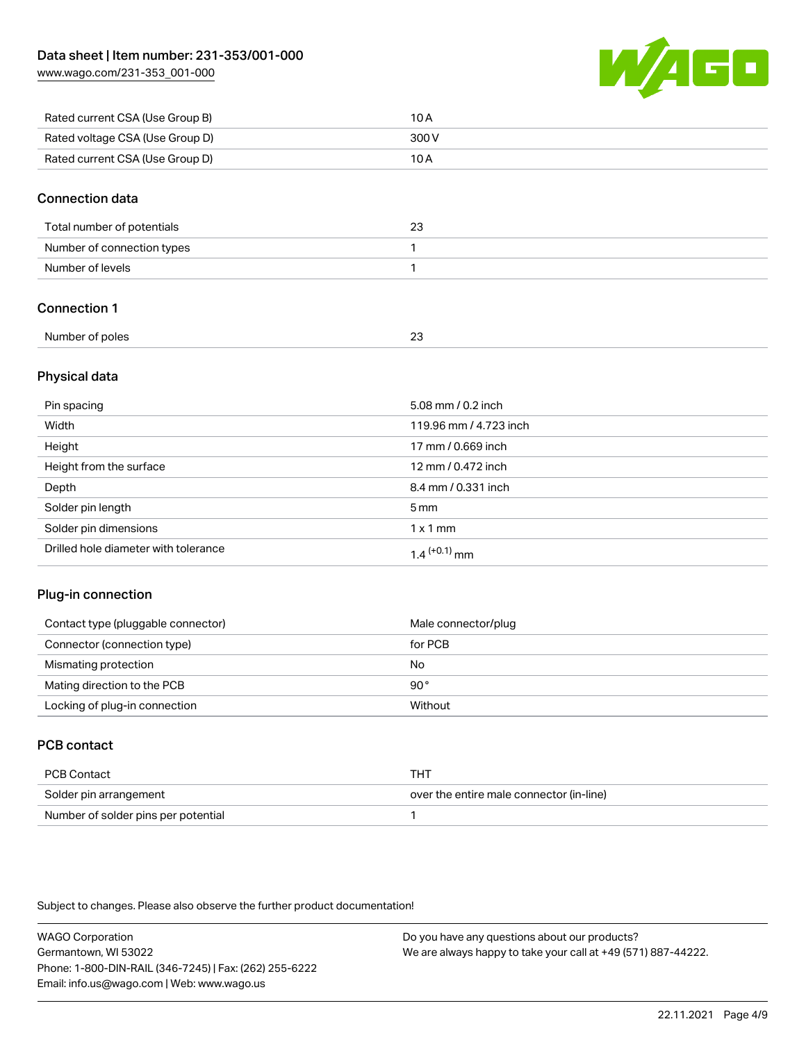[www.wago.com/231-353\\_001-000](http://www.wago.com/231-353_001-000)



| Rated current CSA (Use Group B) | 10 A  |
|---------------------------------|-------|
| Rated voltage CSA (Use Group D) | 300 V |
| Rated current CSA (Use Group D) | 10 A  |

### Connection data

| Total number of potentials | 23 |
|----------------------------|----|
| Number of connection types |    |
| Number of levels           |    |

## Connection 1

| Number of poles<br>. | $\sim$<br>-<br>$\sim$ |
|----------------------|-----------------------|
|                      |                       |

### Physical data

| Pin spacing                          | 5.08 mm / 0.2 inch     |
|--------------------------------------|------------------------|
| Width                                | 119.96 mm / 4.723 inch |
| Height                               | 17 mm / 0.669 inch     |
| Height from the surface              | 12 mm / 0.472 inch     |
| Depth                                | 8.4 mm / 0.331 inch    |
| Solder pin length                    | $5 \text{ mm}$         |
| Solder pin dimensions                | $1 \times 1$ mm        |
| Drilled hole diameter with tolerance | $1.4$ $(+0.1)$ mm      |

## Plug-in connection

| Contact type (pluggable connector) | Male connector/plug |
|------------------------------------|---------------------|
| Connector (connection type)        | for PCB             |
| Mismating protection               | No                  |
| Mating direction to the PCB        | 90°                 |
| Locking of plug-in connection      | Without             |

## PCB contact

| PCB Contact                         | тнт                                      |
|-------------------------------------|------------------------------------------|
| Solder pin arrangement              | over the entire male connector (in-line) |
| Number of solder pins per potential |                                          |

Subject to changes. Please also observe the further product documentation!

WAGO Corporation Germantown, WI 53022 Phone: 1-800-DIN-RAIL (346-7245) | Fax: (262) 255-6222 Email: info.us@wago.com | Web: www.wago.us Do you have any questions about our products? We are always happy to take your call at +49 (571) 887-44222.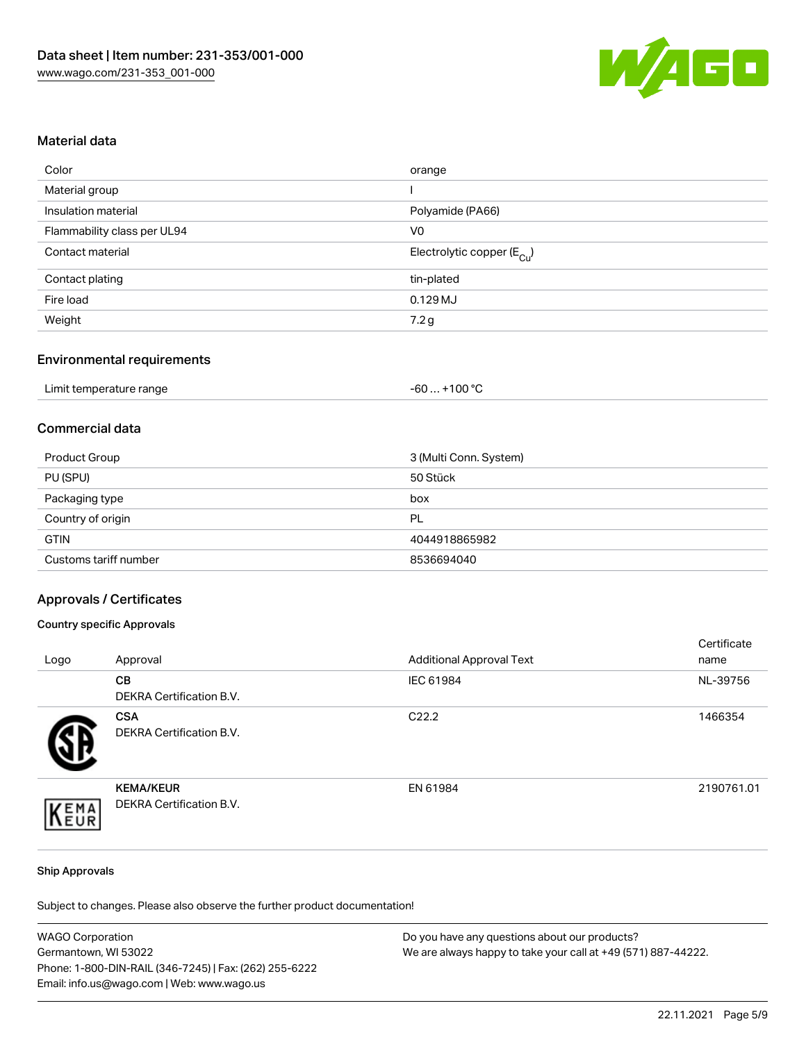

### Material data

| orange                                 |
|----------------------------------------|
|                                        |
| Polyamide (PA66)                       |
| V <sub>0</sub>                         |
| Electrolytic copper (E <sub>Cu</sub> ) |
| tin-plated                             |
| $0.129$ MJ                             |
| 7.2g                                   |
|                                        |

## Environmental requirements

| Limit temperature range | $+100 °C$<br>-60 |
|-------------------------|------------------|
|-------------------------|------------------|

## Commercial data

| Product Group         | 3 (Multi Conn. System) |
|-----------------------|------------------------|
| PU (SPU)              | 50 Stück               |
| Packaging type        | box                    |
| Country of origin     | PL                     |
| <b>GTIN</b>           | 4044918865982          |
| Customs tariff number | 8536694040             |

### Approvals / Certificates

### Country specific Approvals

| Logo | Approval                                            | <b>Additional Approval Text</b> | Certificate<br>name |
|------|-----------------------------------------------------|---------------------------------|---------------------|
|      | <b>CB</b><br><b>DEKRA Certification B.V.</b>        | IEC 61984                       | NL-39756            |
|      | <b>CSA</b><br><b>DEKRA Certification B.V.</b>       | C <sub>22.2</sub>               | 1466354             |
| EMA  | <b>KEMA/KEUR</b><br><b>DEKRA Certification B.V.</b> | EN 61984                        | 2190761.01          |

#### Ship Approvals

Subject to changes. Please also observe the further product documentation!

| <b>WAGO Corporation</b>                                | Do you have any questions about our products?                 |
|--------------------------------------------------------|---------------------------------------------------------------|
| Germantown, WI 53022                                   | We are always happy to take your call at +49 (571) 887-44222. |
| Phone: 1-800-DIN-RAIL (346-7245)   Fax: (262) 255-6222 |                                                               |
| Email: info.us@wago.com   Web: www.wago.us             |                                                               |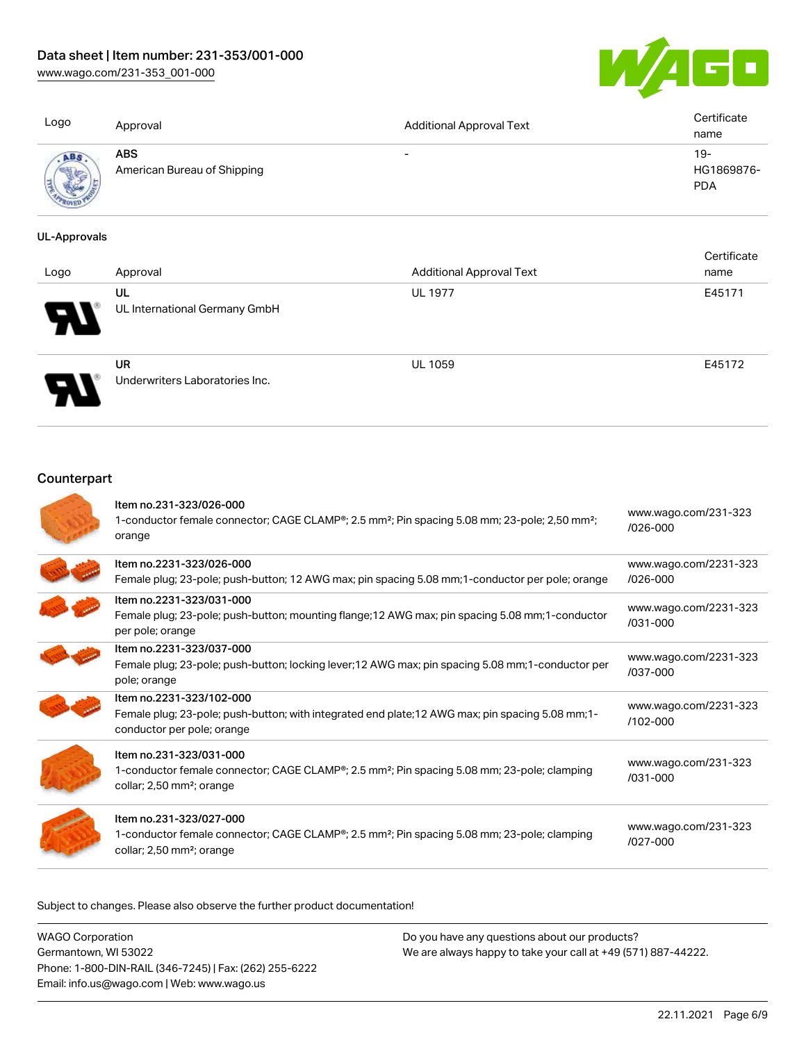[www.wago.com/231-353\\_001-000](http://www.wago.com/231-353_001-000)



| Logo            | Approval                                  | <b>Additional Approval Text</b> | Certificate<br>name             |
|-----------------|-------------------------------------------|---------------------------------|---------------------------------|
| <b>All Mary</b> | <b>ABS</b><br>American Bureau of Shipping | $\overline{\phantom{0}}$        | 19-<br>HG1869876-<br><b>PDA</b> |

### UL-Approvals

| Logo | Approval                                    | <b>Additional Approval Text</b> | Certificate<br>name |
|------|---------------------------------------------|---------------------------------|---------------------|
| Ъ.   | UL<br>UL International Germany GmbH         | <b>UL 1977</b>                  | E45171              |
|      | <b>UR</b><br>Underwriters Laboratories Inc. | <b>UL 1059</b>                  | E45172              |

## **Counterpart**

| Item no.231-323/026-000<br>1-conductor female connector; CAGE CLAMP®; 2.5 mm <sup>2</sup> ; Pin spacing 5.08 mm; 23-pole; 2,50 mm <sup>2</sup> ;<br>orange                               | www.wago.com/231-323<br>$/026 - 000$  |
|------------------------------------------------------------------------------------------------------------------------------------------------------------------------------------------|---------------------------------------|
| Item no.2231-323/026-000<br>Female plug; 23-pole; push-button; 12 AWG max; pin spacing 5.08 mm; 1-conductor per pole; orange                                                             | www.wago.com/2231-323<br>$/026 - 000$ |
| Item no.2231-323/031-000<br>Female plug; 23-pole; push-button; mounting flange; 12 AWG max; pin spacing 5.08 mm; 1-conductor<br>per pole; orange                                         | www.wago.com/2231-323<br>$/031 - 000$ |
| Item no.2231-323/037-000<br>Female plug; 23-pole; push-button; locking lever; 12 AWG max; pin spacing 5.08 mm; 1-conductor per<br>pole; orange                                           | www.wago.com/2231-323<br>/037-000     |
| Item no.2231-323/102-000<br>Female plug; 23-pole; push-button; with integrated end plate; 12 AWG max; pin spacing 5.08 mm; 1-<br>conductor per pole; orange                              | www.wago.com/2231-323<br>/102-000     |
| Item no.231-323/031-000<br>1-conductor female connector; CAGE CLAMP <sup>®</sup> ; 2.5 mm <sup>2</sup> ; Pin spacing 5.08 mm; 23-pole; clamping<br>collar; 2,50 mm <sup>2</sup> ; orange | www.wago.com/231-323<br>$/031 - 000$  |
| Item no.231-323/027-000<br>1-conductor female connector; CAGE CLAMP <sup>®</sup> ; 2.5 mm <sup>2</sup> ; Pin spacing 5.08 mm; 23-pole; clamping<br>collar; 2,50 mm <sup>2</sup> ; orange | www.wago.com/231-323<br>$1027 - 000$  |

Subject to changes. Please also observe the further product documentation!

| <b>WAGO Corporation</b>                                |
|--------------------------------------------------------|
| Germantown, WI 53022                                   |
| Phone: 1-800-DIN-RAIL (346-7245)   Fax: (262) 255-6222 |
| Email: info.us@wago.com   Web: www.wago.us             |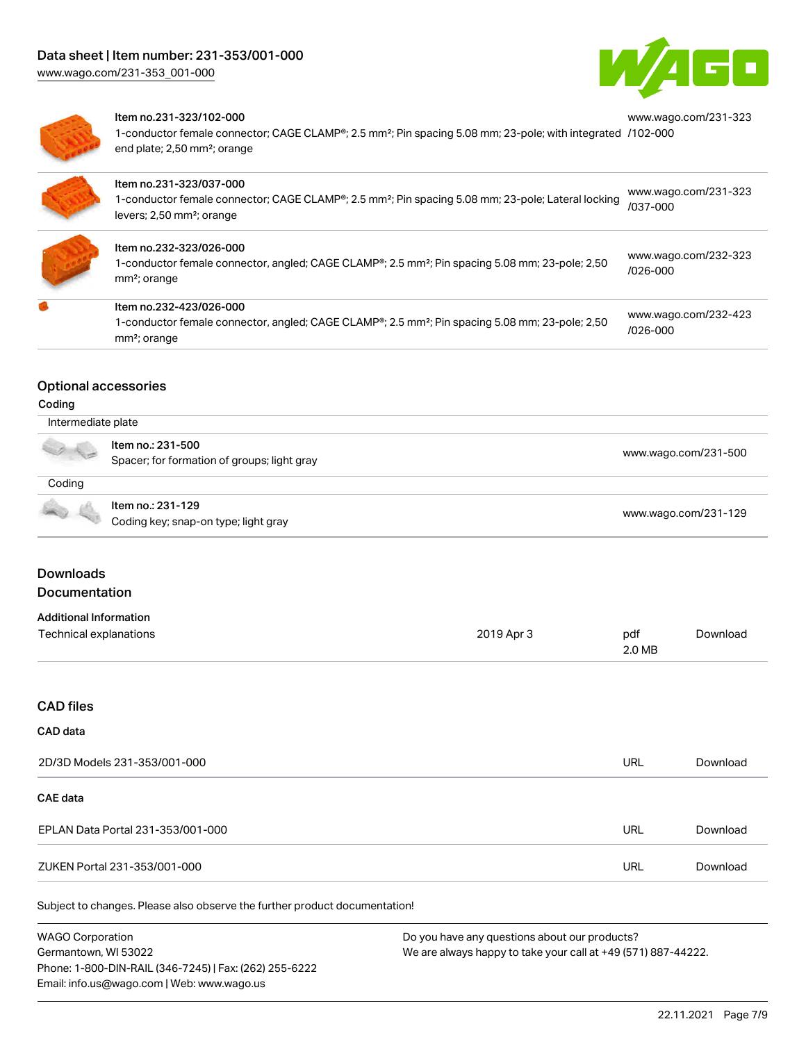

[www.wago.com/231-323](https://www.wago.com/231-323/102-000)



### Item no.231-323/102-000

1-conductor female connector; CAGE CLAMP®; 2.5 mm²; Pin spacing 5.08 mm; 23-pole; with integrated [/102-000](https://www.wago.com/231-323/102-000) end plate; 2,50 mm²; orange

| Item no.231-323/037-000<br>1-conductor female connector; CAGE CLAMP®; 2.5 mm <sup>2</sup> ; Pin spacing 5.08 mm; 23-pole; Lateral locking<br>levers; 2,50 mm <sup>2</sup> ; orange | www.wago.com/231-323<br>/037-000     |
|------------------------------------------------------------------------------------------------------------------------------------------------------------------------------------|--------------------------------------|
| Item no.232-323/026-000<br>1-conductor female connector, angled; CAGE CLAMP®; 2.5 mm <sup>2</sup> ; Pin spacing 5.08 mm; 23-pole; 2,50<br>mm <sup>2</sup> ; orange                 | www.wago.com/232-323<br>$/026 - 000$ |
| Item no.232-423/026-000<br>1-conductor female connector, angled; CAGE CLAMP <sup>®</sup> ; 2.5 mm <sup>2</sup> ; Pin spacing 5.08 mm; 23-pole; 2,50<br>mm <sup>2</sup> ; orange    | www.wago.com/232-423<br>$/026 - 000$ |

### Optional accessories

### Coding

| Intermediate plate |                                                                  |                      |  |
|--------------------|------------------------------------------------------------------|----------------------|--|
|                    | Item no.: 231-500<br>Spacer; for formation of groups; light gray | www.wago.com/231-500 |  |
| Coding             |                                                                  |                      |  |
|                    | Item no.: 231-129<br>Coding key; snap-on type; light gray        | www.wago.com/231-129 |  |

## **Downloads** Documentation

# Additional Information

| Additional Information |            |        |          |
|------------------------|------------|--------|----------|
| Technical explanations | 2019 Apr 3 | pdf    | Download |
|                        |            | 2.0 MB |          |

## CAD files

### CAD data

| 2D/3D Models 231-353/001-000      | URL | Download |
|-----------------------------------|-----|----------|
| CAE data                          |     |          |
| EPLAN Data Portal 231-353/001-000 | URL | Download |
| ZUKEN Portal 231-353/001-000      | URL | Download |

Subject to changes. Please also observe the further product documentation!

WAGO Corporation Germantown, WI 53022 Phone: 1-800-DIN-RAIL (346-7245) | Fax: (262) 255-6222 Email: info.us@wago.com | Web: www.wago.us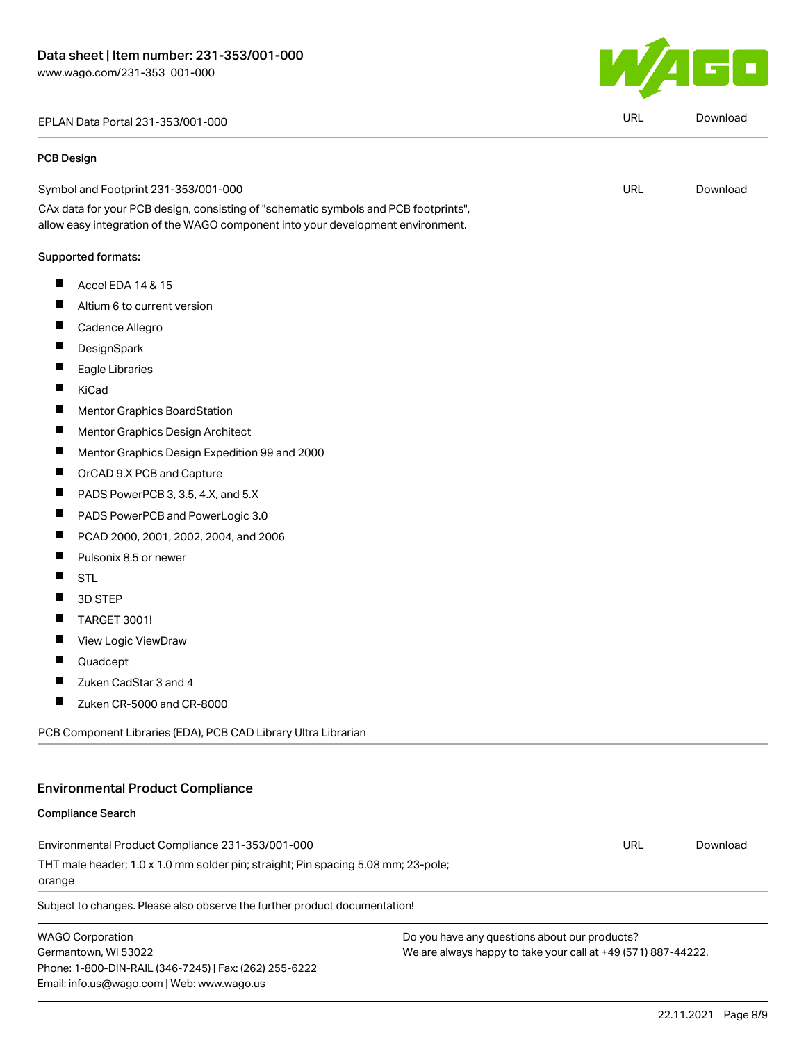EPLAN Data Portal 231-353/001-000 URL [Download](https://www.wago.com/global/d/EPLAN_URLS_231-353_001-000)

#### PCB Design

Symbol and Footprint 231-353/001-000

CAx data for your PCB design, consisting of "schematic symbols and PCB footprints", allow easy integration of the WAGO component into your development environment.

### Supported formats:

- $\blacksquare$ Accel EDA 14 & 15
- $\blacksquare$ Altium 6 to current version
- $\blacksquare$ Cadence Allegro
- $\blacksquare$ **DesignSpark**
- $\blacksquare$ Eagle Libraries
- $\blacksquare$ KiCad
- $\blacksquare$ Mentor Graphics BoardStation
- $\blacksquare$ Mentor Graphics Design Architect
- $\blacksquare$ Mentor Graphics Design Expedition 99 and 2000
- $\blacksquare$ OrCAD 9.X PCB and Capture
- $\blacksquare$ PADS PowerPCB 3, 3.5, 4.X, and 5.X
- П PADS PowerPCB and PowerLogic 3.0
- $\blacksquare$ PCAD 2000, 2001, 2002, 2004, and 2006
- $\blacksquare$ Pulsonix 8.5 or newer
- STL  $\blacksquare$
- $\blacksquare$ 3D STEP
- $\blacksquare$ TARGET 3001!
- $\blacksquare$ View Logic ViewDraw
- $\blacksquare$ Quadcept
- $\blacksquare$ Zuken CadStar 3 and 4
- $\blacksquare$ Zuken CR-5000 and CR-8000

PCB Component Libraries (EDA), PCB CAD Library Ultra Librarian

## Environmental Product Compliance

### Compliance Search

Environmental Product Compliance 231-353/001-000 THT male header; 1.0 x 1.0 mm solder pin; straight; Pin spacing 5.08 mm; 23-pole; orange URL [Download](https://www.wago.com/global/d/ComplianceLinkMediaContainer_231-353_001-000)

Subject to changes. Please also observe the further product documentation!

WAGO Corporation Germantown, WI 53022 Phone: 1-800-DIN-RAIL (346-7245) | Fax: (262) 255-6222 Email: info.us@wago.com | Web: www.wago.us

Do you have any questions about our products? We are always happy to take your call at +49 (571) 887-44222.



URL [Download](https://www.wago.com/global/d/UltraLibrarian_URLS_231-353_001-000)